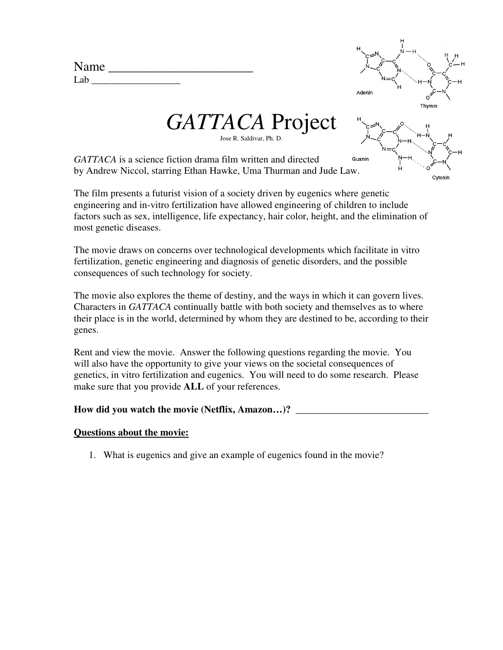| Name |  |
|------|--|
| Lab. |  |



*GATTACA* Project Jose R. Saldivar, Ph. D.



*GATTACA* is a science fiction drama film written and directed by Andrew Niccol, starring Ethan Hawke, Uma Thurman and Jude Law.

The film presents a futurist vision of a society driven by eugenics where genetic engineering and in-vitro fertilization have allowed engineering of children to include factors such as sex, intelligence, life expectancy, hair color, height, and the elimination of most genetic diseases.

The movie draws on concerns over technological developments which facilitate in vitro fertilization, genetic engineering and diagnosis of genetic disorders, and the possible consequences of such technology for society.

The movie also explores the theme of destiny, and the ways in which it can govern lives. Characters in *GATTACA* continually battle with both society and themselves as to where their place is in the world, determined by whom they are destined to be, according to their genes.

Rent and view the movie. Answer the following questions regarding the movie. You will also have the opportunity to give your views on the societal consequences of genetics, in vitro fertilization and eugenics. You will need to do some research. Please make sure that you provide **ALL** of your references.

## **How did you watch the movie (Netflix, Amazon…)? \_\_\_\_\_\_\_\_\_\_\_\_\_\_\_\_\_\_\_\_\_\_\_\_\_\_\_**

## **Questions about the movie:**

1. What is eugenics and give an example of eugenics found in the movie?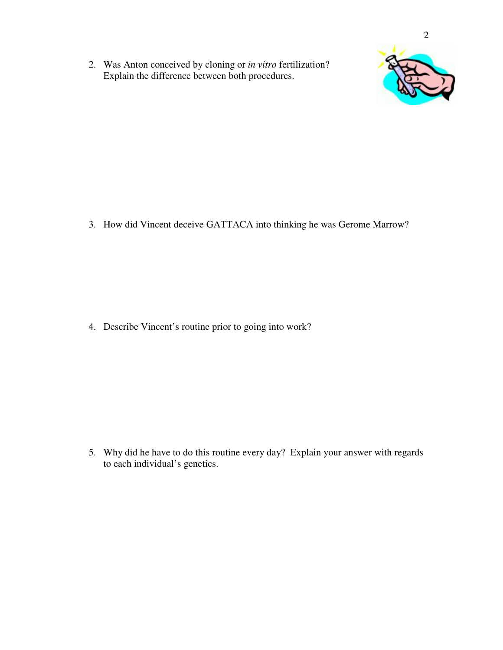2. Was Anton conceived by cloning or *in vitro* fertilization? Explain the difference between both procedures.



3. How did Vincent deceive GATTACA into thinking he was Gerome Marrow?

4. Describe Vincent's routine prior to going into work?

5. Why did he have to do this routine every day? Explain your answer with regards to each individual's genetics.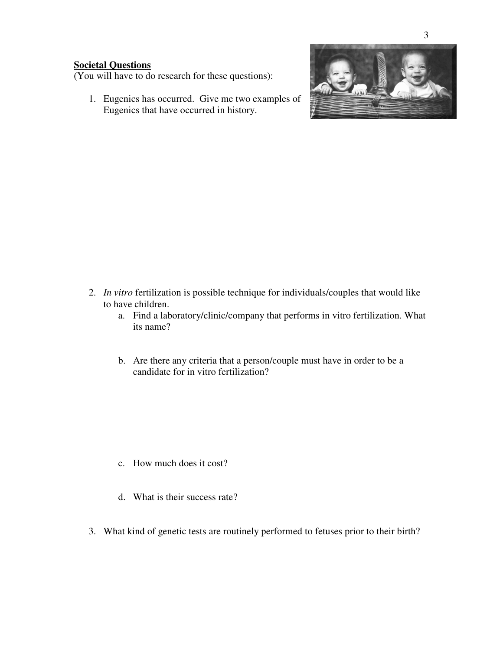## **Societal Questions**

(You will have to do research for these questions):

1. Eugenics has occurred. Give me two examples of Eugenics that have occurred in history.



- 2. *In vitro* fertilization is possible technique for individuals/couples that would like to have children.
	- a. Find a laboratory/clinic/company that performs in vitro fertilization. What its name?
	- b. Are there any criteria that a person/couple must have in order to be a candidate for in vitro fertilization?

- c. How much does it cost?
- d. What is their success rate?
- 3. What kind of genetic tests are routinely performed to fetuses prior to their birth?